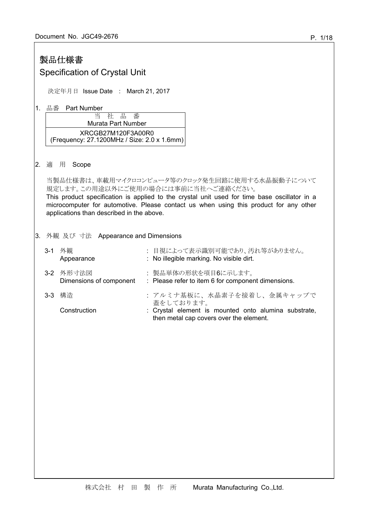# 製品仕様書

# Specification of Crystal Unit

決定年月日 Issue Date : March 21, 2017

1. 品番 Part Number

当 社 品 番 Murata Part Number XRCGB27M120F3A00R0 (Frequency: 27.1200MHz / Size: 2.0 x 1.6mm)

2. 適 用 Scope

当製品仕様書は、車載用マイクロコンピュータ等のクロック発生回路に使用する水晶振動子について 規定します。この用途以外にご使用の場合には事前に当社へご連絡ください。

This product specification is applied to the crystal unit used for time base oscillator in a microcomputer for automotive. Please contact us when using this product for any other applications than described in the above.

# 3. 外観 及び 寸法 Appearance and Dimensions

| 3-1 | 外観<br>Appearance                     | : 目視によって表示識別可能であり、汚れ等がありません。<br>: No illegible marking. No visible dirt.                        |
|-----|--------------------------------------|-------------------------------------------------------------------------------------------------|
|     | 3-2 外形寸法図<br>Dimensions of component | : 製品単体の形状を項目6に示します。<br>: Please refer to item 6 for component dimensions.                       |
|     | 3-3 構造                               | : アルミナ基板に、水晶素子を接着し、金属キャップで<br>蓋をしております。                                                         |
|     | Construction                         | : Crystal element is mounted onto alumina substrate,<br>then metal cap covers over the element. |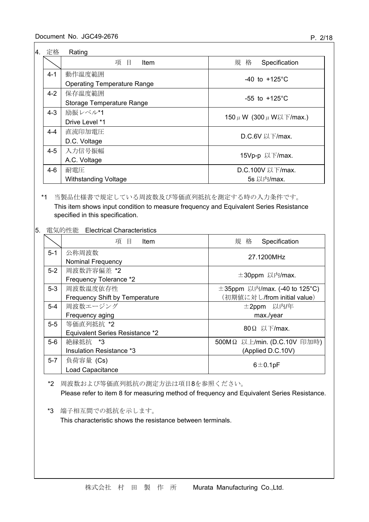| 4. 定格   | Rating                             |                                  |  |  |  |
|---------|------------------------------------|----------------------------------|--|--|--|
|         | 項目<br>Item                         | 規 格<br>Specification             |  |  |  |
| $4 - 1$ | 動作温度範囲                             | $-40$ to $+125^{\circ}$ C        |  |  |  |
|         | <b>Operating Temperature Range</b> |                                  |  |  |  |
| $4 - 2$ | 保存温度範囲                             | $-55$ to $+125^{\circ}$ C        |  |  |  |
|         | Storage Temperature Range          |                                  |  |  |  |
| $4 - 3$ | 励振レベル*1                            | 150 $\mu$ W (300 $\mu$ W以下/max.) |  |  |  |
|         | Drive Level *1                     |                                  |  |  |  |
| $4 - 4$ | 直流印加電圧                             | D.C.6V 以下/max.                   |  |  |  |
|         | D.C. Voltage                       |                                  |  |  |  |
| $4 - 5$ | 入力信号振幅                             | 15Vp-p 以下/max.                   |  |  |  |
|         | A.C. Voltage                       |                                  |  |  |  |
| $4 - 6$ | 耐雷圧                                | D.C.100V 以下/max.                 |  |  |  |
|         | <b>Withstanding Voltage</b>        | 5s 以内/max.                       |  |  |  |

# \*1 当製品仕様書で規定している周波数及び等価直列抵抗を測定する時の入力条件です。 This item shows input condition to measure frequency and Equivalent Series Resistance specified in this specification.

# 5. 電気的性能 Electrical Characteristics

|         | 項目<br>Item                      | 規 格<br>Specification               |
|---------|---------------------------------|------------------------------------|
| $5 - 1$ | 公称周波数                           | 27.1200MHz                         |
|         | <b>Nominal Frequency</b>        |                                    |
| $5-2$   | 周波数許容偏差 *2                      | $\pm$ 30ppm 以内/max.                |
|         | Frequency Tolerance *2          |                                    |
| $5-3$   | 周波数温度依存性                        | $\pm$ 35ppm 以内/max. (-40 to 125°C) |
|         | Frequency Shift by Temperature  | (初期値に対し/from initial value)        |
| $5-4$   | 周波数エージング                        | ±2ppm 以内/年                         |
|         | Frequency aging                 | max./year                          |
| $5-5$   | 等価直列抵抗 *2                       | 80Ω 以下/max.                        |
|         | Equivalent Series Resistance *2 |                                    |
| $5-6$   | 絶縁抵抗 *3                         | 500MΩ 以上/min. (D.C.10V 印加時)        |
|         | Insulation Resistance *3        | (Applied D.C.10V)                  |
| $5-7$   | 負荷容量 (Cs)                       |                                    |
|         | Load Capacitance                | $6 \pm 0.1$ pF                     |

\*2 周波数および等価直列抵抗の測定方法は項目8を参照ください。 Please refer to item 8 for measuring method of frequency and Equivalent Series Resistance.

\*3 端子相互間での抵抗を示します。

This characteristic shows the resistance between terminals.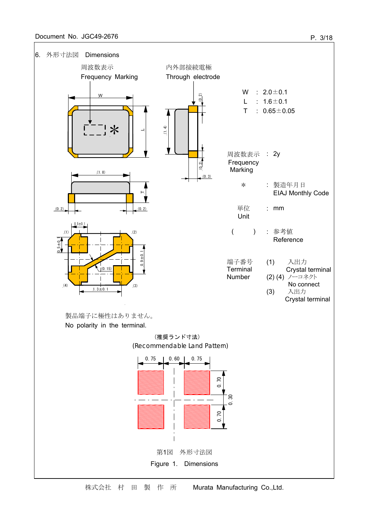

P. 3/18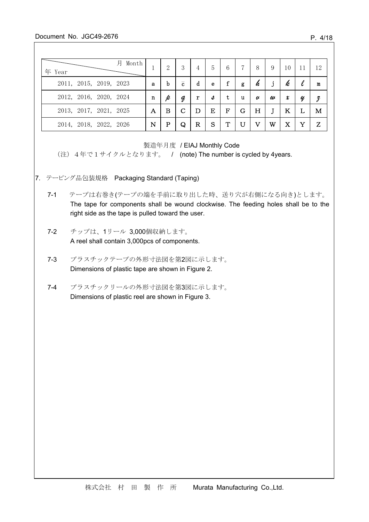### Document No. JGC49-2676

| 月<br>Month<br>年 Year   |   | 2 | 3              | 4 | 5 | 6           |   | 8 | 9 | 10 |   | 12 |
|------------------------|---|---|----------------|---|---|-------------|---|---|---|----|---|----|
| 2011, 2015, 2019, 2023 | a | b | $\overline{c}$ | d | e | f           | g | h |   | k  |   | m  |
| 2012, 2016, 2020, 2024 | n |   | д              | r | s | t           | u | U | w | x  | U | з  |
| 2013, 2017, 2021, 2025 | А | в |                |   | Ε | $\mathbf F$ | G | Н |   | K  |   | м  |
|                        |   |   |                |   |   |             |   |   |   |    |   |    |

製造年月度 / EIAJ Monthly Code

(注) 4年で1サイクルとなります。 / (note) The number is cycled by 4years.

- 7. テーピング品包装規格 Packaging Standard (Taping)
	- 7-1 テープは右巻き(テープの端を手前に取り出した時、送り穴が右側になる向き)とします。 The tape for components shall be wound clockwise. The feeding holes shall be to the right side as the tape is pulled toward the user.
	- 7-2 チップは、1リール 3,000個収納します。 A reel shall contain 3,000pcs of components.
	- 7-3 プラスチックテープの外形寸法図を第2図に示します。 Dimensions of plastic tape are shown in Figure 2.
	- 7-4 プラスチックリールの外形寸法図を第3図に示します。 Dimensions of plastic reel are shown in Figure 3.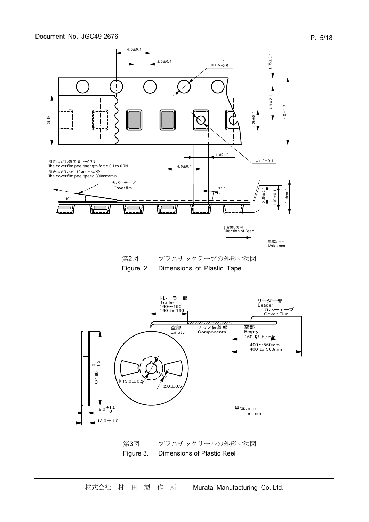#### Document No. JGC49-2676



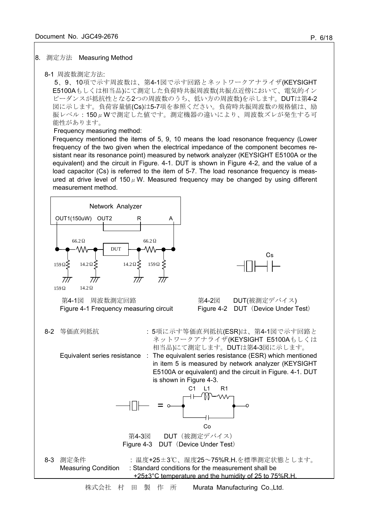#### 8. 測定方法 Measuring Method

#### 8-1 周波数測定方法:

5、9、10項で示す周波数は、第4-1図で示す回路とネットワークアナライザ(KEYSIGHT E5100Aもしくは相当品)にて測定した負荷時共振周波数(共振点近傍において、電気的イン ピーダンスが抵抗性となる2つの周波数のうち、低い方の周波数)を示します。DUTは第4-2 図に示します。負荷容量値(Cs)は5-7項を参照ください。負荷時共振周波数の規格値は、励 振レベル:150μWで測定した値です。測定機器の違いにより、周波数ズレが発生する可 能性があります。

Frequency measuring method:

Frequency mentioned the items of 5, 9, 10 means the load resonance frequency (Lower frequency of the two given when the electrical impedance of the component becomes resistant near its resonance point) measured by network analyzer (KEYSIGHT E5100A or the equivalent) and the circuit in Figure. 4-1. DUT is shown in Figure 4-2, and the value of a load capacitor (Cs) is referred to the item of 5-7. The load resonance frequency is measured at drive level of 150 $\mu$  W. Measured frequency may be changed by using different measurement method.

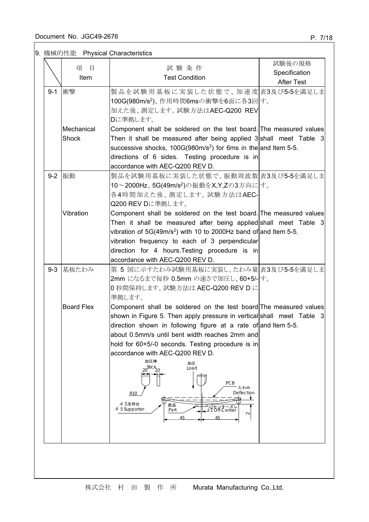# 9. 機械的性能 Physical Characteristics

|         | 項<br>目            | 試験条件                                                                                                                                   | 試験後の規格            |
|---------|-------------------|----------------------------------------------------------------------------------------------------------------------------------------|-------------------|
|         | Item              | <b>Test Condition</b>                                                                                                                  | Specification     |
|         |                   |                                                                                                                                        | <b>After Test</b> |
| $9 - 1$ | 衝擊                | 製品を試験用基板に実装した状態で、加速度 表3及び5-5を満足しま                                                                                                      |                   |
|         |                   | 100G(980m/s <sup>2</sup> )、作用時間6msの衝撃を6面に各3回す。                                                                                         |                   |
|         |                   | 加えた後、測定します。試験方法はAEC-Q200 REV                                                                                                           |                   |
|         |                   | Dに準拠します。                                                                                                                               |                   |
|         | Mechanical        | Component shall be soldered on the test board. The measured values                                                                     |                   |
|         | <b>Shock</b>      | Then it shall be measured after being applied $3$ shall meet Table $3$                                                                 |                   |
|         |                   | successive shocks, $100G(980m/s^2)$ for 6ms in the and Item 5-5.                                                                       |                   |
|         |                   | directions of 6 sides. Testing procedure is in                                                                                         |                   |
|         |                   | accordance with AEC-Q200 REV D.                                                                                                        |                   |
| $9 - 2$ | 振動                | 製品を試験用基板に実装した状態で、振動周波数表3及び5-5を満足しま                                                                                                     |                   |
|         |                   | 10~2000Hz、5G(49m/s <sup>2</sup> )の振動をX,Y,Zの3方向にす。                                                                                      |                   |
|         |                   | 各4時間加えた後、測定します。試験方法はAEC-                                                                                                               |                   |
|         |                   | Q200 REV Dに準拠します。                                                                                                                      |                   |
|         | Vibration         | Component shall be soldered on the test board. The measured values                                                                     |                   |
|         |                   | Then it shall be measured after being applied shall meet Table 3<br>vibration of $5G(49m/s^2)$ with 10 to 2000Hz band of and Item 5-5. |                   |
|         |                   | vibration frequency to each of 3 perpendicular                                                                                         |                   |
|         |                   | direction for 4 hours. Testing procedure is in                                                                                         |                   |
|         |                   | accordance with AEC-Q200 REV D.                                                                                                        |                   |
| $9 - 3$ | 基板たわみ             | 第5図に示すたわみ試験用基板に実装し、たわみ量 表3及び5-5を満足しま                                                                                                   |                   |
|         |                   | 2mm になるまで毎秒 0.5mm の速さで加圧し、60+5/- す。                                                                                                    |                   |
|         |                   | 0 秒間保持します。試験方法は AEC-Q200 REV D に                                                                                                       |                   |
|         |                   | 準拠します。                                                                                                                                 |                   |
|         | <b>Board Flex</b> | Component shall be soldered on the test board The measured values                                                                      |                   |
|         |                   | shown in Figure 5. Then apply pressure in vertical shall meet Table 3                                                                  |                   |
|         |                   | direction shown in following figure at a rate of and Item 5-5.                                                                         |                   |
|         |                   | about 0.5mm/s until bent width reaches 2mm and                                                                                         |                   |
|         |                   | hold for 60+5/-0 seconds. Testing procedure is in                                                                                      |                   |
|         |                   | accordance with AEC-Q200 REV D.                                                                                                        |                   |
|         |                   | 加圧棒<br>加圧<br>20 <sup>Stick</sup> 10<br>Load                                                                                            |                   |
|         |                   |                                                                                                                                        |                   |
|         |                   | PCB<br>たわみ                                                                                                                             |                   |
|         |                   | Deflection<br>R <sub>10</sub>                                                                                                          |                   |
|         |                   | φ 5支持台<br>部品                                                                                                                           |                   |
|         |                   | ちンターズレ<br>Off-Center<br>$\phi$ 5 Supporter<br>Part<br>$\sim$                                                                           |                   |
|         |                   |                                                                                                                                        |                   |
|         |                   |                                                                                                                                        |                   |
|         |                   |                                                                                                                                        |                   |
|         |                   |                                                                                                                                        |                   |
|         |                   |                                                                                                                                        |                   |
|         |                   |                                                                                                                                        |                   |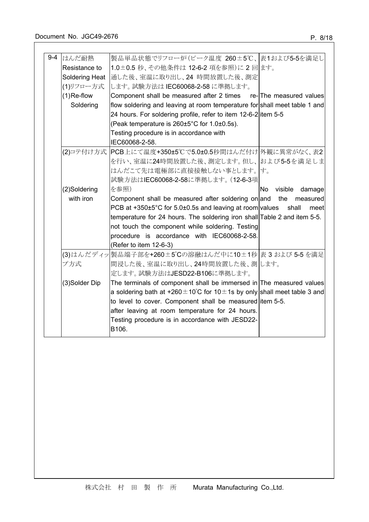| $9 - 4$ | はんだ耐熱                                                                             | 製品単品状態でリフロー炉(ピーク温度 260±5℃、表1および5-5を満足し                                             |                          |
|---------|-----------------------------------------------------------------------------------|------------------------------------------------------------------------------------|--------------------------|
|         | Resistance to                                                                     | 1.0±0.5 秒、その他条件は 12-6-2 項を参照)に 2回ます。                                               |                          |
|         | Soldering Heat                                                                    | 通した後、室温に取り出し、24 時間放置した後、測定                                                         |                          |
|         | (1)リフロー方式                                                                         | します。試験方法は IEC60068-2-58 に準拠します。                                                    |                          |
|         | $(1)$ Re-flow<br>Component shall be measured after 2 times re-The measured values |                                                                                    |                          |
|         | Soldering                                                                         | flow soldering and leaving at room temperature for shall meet table 1 and          |                          |
|         |                                                                                   | 24 hours. For soldering profile, refer to item 12-6-2 litem 5-5                    |                          |
|         |                                                                                   | (Peak temperature is 260±5°C for 1.0±0.5s).                                        |                          |
|         |                                                                                   | Testing procedure is in accordance with                                            |                          |
|         |                                                                                   | IEC60068-2-58.                                                                     |                          |
|         |                                                                                   | (2)コテ付け方式 PCB上にて温度+350±5℃で5.0±0.5秒間はんだ付け 外観に異常がなく、表2                               |                          |
|         |                                                                                   | を行い、室温に24時間放置した後、測定します。但し、および5-5を満足しま                                              |                          |
|         |                                                                                   | はんだこて先は電極部に直接接触しない事とします。 す。                                                        |                          |
|         |                                                                                   | 試験方法はIEC60068-2-58に準拠します。(12-6-3項                                                  |                          |
|         | (2)Soldering                                                                      | を参照)                                                                               | No.<br>visible<br>damage |
|         | with iron                                                                         | Component shall be measured after soldering on and                                 | the<br>measured          |
|         |                                                                                   |                                                                                    |                          |
|         |                                                                                   | PCB at $+350\pm5^{\circ}$ C for 5.0 $\pm$ 0.5s and leaving at room values          | shall<br>meet            |
|         |                                                                                   | temperature for 24 hours. The soldering iron shall Table 2 and item 5-5.           |                          |
|         |                                                                                   | not touch the component while soldering. Testing                                   |                          |
|         |                                                                                   | procedure is accordance with IEC60068-2-58.                                        |                          |
|         |                                                                                   | (Refer to item 12-6-3)                                                             |                          |
|         |                                                                                   | (3)はんだディッ 製品端子部を+260±5℃の溶融はんだ中に10±1秒 表 3 および 5-5 を満足                               |                          |
|         | プ方式                                                                               | 間浸した後、室温に取り出し、24時間放置した後、測します。                                                      |                          |
|         |                                                                                   | 定します。試験方法はJESD22-B106に準拠します。                                                       |                          |
|         | (3)Solder Dip                                                                     | The terminals of component shall be immersed in The measured values                |                          |
|         |                                                                                   | a soldering bath at +260 $\pm$ 10°C for 10 $\pm$ 1s by only shall meet table 3 and |                          |
|         |                                                                                   | to level to cover. Component shall be measured litem 5-5.                          |                          |
|         |                                                                                   | after leaving at room temperature for 24 hours.                                    |                          |
|         |                                                                                   | Testing procedure is in accordance with JESD22-<br>B106.                           |                          |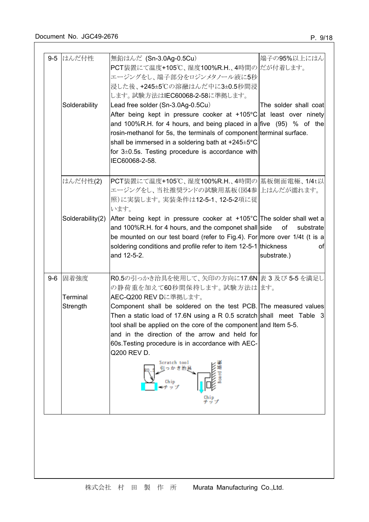|         | 9-5 はんだ付性        | 無鉛はんだ (Sn-3.0Ag-0.5Cu)                                                                                                                                                                                                                                                                                                                                                                                                                                                                                                                   | 端子の95%以上にはん                          |
|---------|------------------|------------------------------------------------------------------------------------------------------------------------------------------------------------------------------------------------------------------------------------------------------------------------------------------------------------------------------------------------------------------------------------------------------------------------------------------------------------------------------------------------------------------------------------------|--------------------------------------|
|         | Solderability    | PCT装置にて温度+105℃、湿度100%R.H.、4時間のだが付着します。<br>エージングをし、端子部分をロジンメタノール液に5秒<br>浸した後、+245±5℃の溶融はんだ中に3±0.5秒間浸<br>します。試験方法はIEC60068-2-58に準拠します。<br>Lead free solder (Sn-3.0Ag-0.5Cu)<br>After being kept in pressure cooker at +105 $\degree$ C at least over ninety<br>and 100%R.H. for 4 hours, and being placed in a five $(95)$ % of the<br>rosin-methanol for 5s, the terminals of component terminal surface.<br>shall be immersed in a soldering bath at +245±5°C<br>for $3\pm0.5$ s. Testing procedure is accordance with<br>IEC60068-2-58. | The solder shall coat                |
|         | はんだ付性(2)         | PCT装置にて温度+105℃、湿度100%R.H.、4時間の 基板側面電極、1/4t以 <br>エージングをし、当社推奨ランドの試験用基板(図4参 上はんだが濡れます。<br>照)に実装します。実装条件は12-5-1、12-5-2項に従<br>います。                                                                                                                                                                                                                                                                                                                                                                                                           |                                      |
|         | Solderability(2) | After being kept in pressure cooker at +105°C The solder shall wet a<br>and 100%R.H. for 4 hours, and the componet shall side<br>be mounted on our test board (refer to Fig.4). For more over 1/4t (t is a<br>soldering conditions and profile refer to item 12-5-1 thickness<br>and 12-5-2.                                                                                                                                                                                                                                             | of<br>substrate<br>οt<br>substrate.) |
| $9 - 6$ | 固着強度<br>Terminal | R0.5の引っかき治具を使用して、矢印の方向に17.6N 表 3 及び 5-5 を満足し<br>の静荷重を加えて60秒間保持します。試験方法ははす。<br>AEC-Q200 REV Dに準拠します。                                                                                                                                                                                                                                                                                                                                                                                                                                      |                                      |
|         | Strength         | Component shall be soldered on the test PCB. The measured values<br>Then a static load of 17.6N using a R 0.5 scratch shall meet Table 3<br>tool shall be applied on the core of the component and Item 5-5.<br>and in the direction of the arrow and held for<br>60s. Testing procedure is in accordance with AEC-<br>Q200 REV D.<br>Scratch tool<br>引っかき治<br>Chip                                                                                                                                                                      |                                      |
|         |                  |                                                                                                                                                                                                                                                                                                                                                                                                                                                                                                                                          |                                      |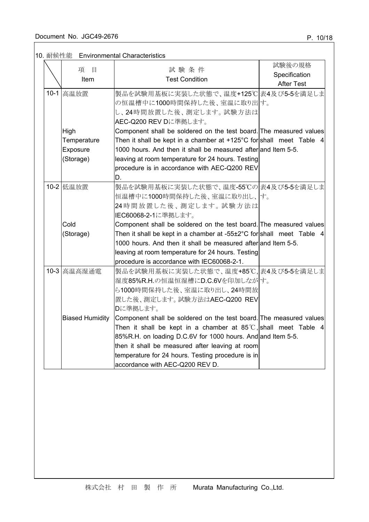# 10. 耐候性能 Environmental Characteristics

| 項<br>目                 | 試験条件                                                                           | 試験後の規格            |
|------------------------|--------------------------------------------------------------------------------|-------------------|
| Item                   | <b>Test Condition</b>                                                          | Specification     |
|                        |                                                                                | <b>After Test</b> |
| 10-1 高温放置              | 製品を試験用基板に実装した状態で、温度+125℃ 表4及び5-5を満足しま                                          |                   |
|                        | の恒温槽中に1000時間保持した後、室温に取り出す。                                                     |                   |
|                        | し、24時間放置した後、測定します。試験方法は                                                        |                   |
|                        | AEC-Q200 REV Dに準拠します。                                                          |                   |
| High                   | Component shall be soldered on the test board. The measured values             |                   |
| Temperature            | Then it shall be kept in a chamber at +125 $^{\circ}$ C for shall meet Table 4 |                   |
| Exposure               | 1000 hours. And then it shall be measured after and Item 5-5.                  |                   |
| (Storage)              | leaving at room temperature for 24 hours. Testing                              |                   |
|                        | procedure is in accordance with AEC-Q200 REV                                   |                   |
|                        | D.                                                                             |                   |
| 10-2 低温放置              | 製品を試験用基板に実装した状態で、温度-55℃の表4及び5-5を満足しま                                           |                   |
|                        | 恒温槽中に1000時間保持した後、室温に取り出し、す。                                                    |                   |
|                        | 24時間放置した後、測定します。試験方法は                                                          |                   |
|                        | IEC60068-2-1に準拠します。                                                            |                   |
| Cold                   | Component shall be soldered on the test board. The measured values             |                   |
| (Storage)              | Then it shall be kept in a chamber at -55 $\pm$ 2°C for shall meet Table 4     |                   |
|                        | 1000 hours. And then it shall be measured after and Item 5-5.                  |                   |
|                        | leaving at room temperature for 24 hours. Testing                              |                   |
|                        | procedure is accordance with IEC60068-2-1.                                     |                   |
| 10-3 高温高湿通電            | 製品を試験用基板に実装した状態で、温度+85℃, 表4及び5-5を満足しま                                          |                   |
|                        | 湿度85%R.H.の恒温恒湿槽にD.C.6Vを印加しながす。                                                 |                   |
|                        | ら1000時間保持した後、室温に取り出し、24時間放                                                     |                   |
|                        | 置した後、測定します。試験方法はAEC-Q200 REV                                                   |                   |
|                        | Dに準拠します。                                                                       |                   |
| <b>Biased Humidity</b> | Component shall be soldered on the test board. The measured values             |                   |
|                        | Then it shall be kept in a chamber at $85^{\circ}$ C, shall meet Table 4       |                   |
|                        | 85%R.H. on loading D.C.6V for 1000 hours. And and Item 5-5.                    |                   |
|                        | then it shall be measured after leaving at room                                |                   |
|                        | temperature for 24 hours. Testing procedure is in                              |                   |
|                        | accordance with AEC-Q200 REV D.                                                |                   |
|                        |                                                                                |                   |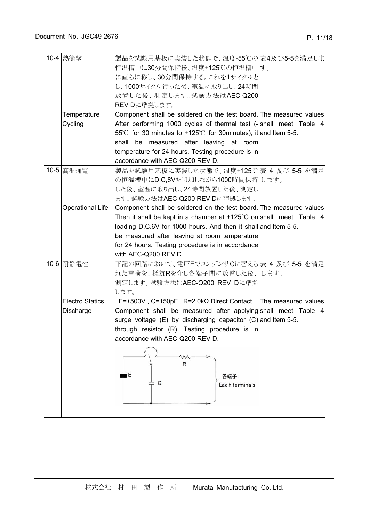| 10-4 熱衝擊                | 製品を試験用基板に実装した状態で、温度-55℃の 表4及び5-5を満足しま                                            |  |
|-------------------------|----------------------------------------------------------------------------------|--|
|                         | 恒温槽中に30分間保持後、温度+125℃の恒温槽中す。                                                      |  |
|                         | に直ちに移し、30分間保持する。これを1サイクルと                                                        |  |
|                         | し、1000サイクル行った後、室温に取り出し、24時間                                                      |  |
|                         | 放置した後、測定します。試験方法はAEC-Q200                                                        |  |
|                         | REV Dに準拠します。                                                                     |  |
| Temperature             | Component shall be soldered on the test board. The measured values               |  |
| Cycling                 | After performing 1000 cycles of thermal test (-shall meet Table 4                |  |
|                         | 55°C for 30 minutes to +125°C for 30 minutes), it and Item 5-5.                  |  |
|                         | shall be measured after leaving at room                                          |  |
|                         | temperature for 24 hours. Testing procedure is in                                |  |
|                         | accordance with AEC-Q200 REV D.                                                  |  |
| 10-5 高温通電               | 製品を試験用基板に実装した状態で、温度+125℃ 表 4 及び 5-5 を満足                                          |  |
|                         |                                                                                  |  |
|                         | の恒温槽中にD.C,6Vを印加しながら1000時間保持 します。                                                 |  |
|                         | した後、室温に取り出し、24時間放置した後、測定し                                                        |  |
|                         | ます。試験方法はAEC-Q200 REV Dに準拠します。                                                    |  |
| <b>Operational Life</b> | Component shall be soldered on the test board. The measured values               |  |
|                         | Then it shall be kept in a chamber at +125°C on shall meet Table 4               |  |
|                         | loading D.C.6V for 1000 hours. And then it shall and Item 5-5.                   |  |
|                         | be measured after leaving at room temperature                                    |  |
|                         | for 24 hours. Testing procedure is in accordance                                 |  |
|                         | with AEC-Q200 REV D.                                                             |  |
| 10-6 耐静電性               | 下記の回路において、電圧EでコンデンサCに蓄えら 表 4 及び 5-5 を満足                                          |  |
|                         | れた電荷を、抵抗Rを介し各端子間に放電した後、します。                                                      |  |
|                         | 測定します。試験方法はAEC-Q200 REV Dに準拠                                                     |  |
|                         | します。                                                                             |  |
| <b>Electro Statics</b>  | $E = \pm 500V$ , C=150pF, R=2.0k $\Omega$ , Direct Contact   The measured values |  |
| Discharge               | Component shall be measured after applying shall meet Table 4                    |  |
|                         | surge voltage $(E)$ by discharging capacitor $(C)$ and Item 5-5.                 |  |
|                         | through resistor (R). Testing procedure is in                                    |  |
|                         | accordance with AEC-Q200 REV D.                                                  |  |
|                         |                                                                                  |  |
|                         |                                                                                  |  |
|                         | R                                                                                |  |
|                         | i El<br>各端子                                                                      |  |
|                         | C<br>Each terminals                                                              |  |
|                         |                                                                                  |  |
|                         |                                                                                  |  |
|                         |                                                                                  |  |
|                         |                                                                                  |  |
|                         |                                                                                  |  |
|                         |                                                                                  |  |
|                         |                                                                                  |  |
|                         |                                                                                  |  |
|                         |                                                                                  |  |
|                         |                                                                                  |  |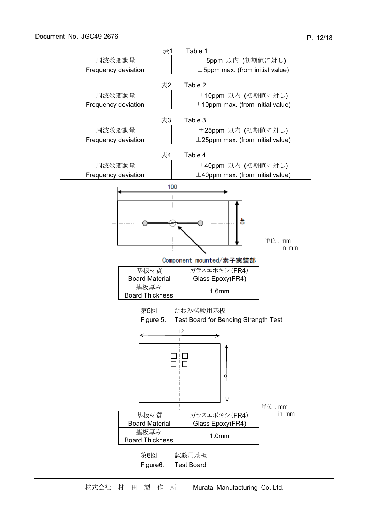

株式会社 村 田 製 作 所 Murata Manufacturing Co.,Ltd.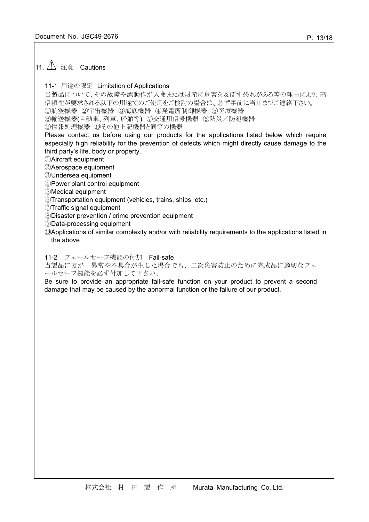# $|$ 11.  $\triangle$  注意 Cautions

# 11-1 用途の限定 Limitation of Applications

当製品について、その故障や誤動作が人命または財産に危害を及ぼす恐れがある等の理由により、高 信頼性が要求される以下の用途でのご使用をご検討の場合は、必ず事前に当社までご連絡下さい。

①航空機器 ②宇宙機器 ③海底機器 ④発電所制御機器 ⑤医療機器

⑥輸送機器(自動車、列車、船舶等) ⑦交通用信号機器 ⑧防災/防犯機器

⑨情報処理機器 ⑩その他上記機器と同等の機器

Please contact us before using our products for the applications listed below which require especially high reliability for the prevention of defects which might directly cause damage to the third party's life, body or property.

①Aircraft equipment

②Aerospace equipment

③Undersea equipment

④Power plant control equipment

⑤Medical equipment

⑥Transportation equipment (vehicles, trains, ships, etc.)

⑦Traffic signal equipment

⑧Disaster prevention / crime prevention equipment

⑨Data-processing equipment

⑩Applications of similar complexity and/or with reliability requirements to the applications listed in the above

11-2 フェールセーフ機能の付加 Fail-safe

当製品に万が一異常や不具合が生じた場合でも、二次災害防止のために完成品に適切なフェ ールセーフ機能を必ず付加して下さい。

Be sure to provide an appropriate fail-safe function on your product to prevent a second damage that may be caused by the abnormal function or the failure of our product.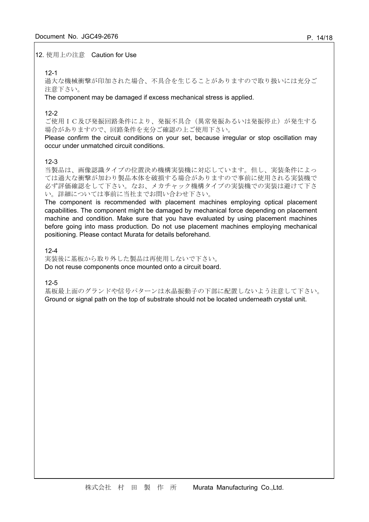12. 使用上の注意 Caution for Use

## 12-1

過大な機械衝撃が印加された場合、不具合を生じることがありますので取り扱いには充分ご 注意下さい。

The component may be damaged if excess mechanical stress is applied.

# 12-2

ご使用IC及び発振回路条件により、発振不具合(異常発振あるいは発振停止)が発生する 場合がありますので、回路条件を充分ご確認の上ご使用下さい。

Please confirm the circuit conditions on your set, because irregular or stop oscillation may occur under unmatched circuit conditions.

# 12-3

当製品は、画像認識タイプの位置決め機構実装機に対応しています。但し、実装条件によっ ては過大な衝撃が加わり製品本体を破損する場合がありますので事前に使用される実装機で 必ず評価確認をして下さい。なお、メカチャック機構タイプの実装機での実装は避けて下さ い。詳細については事前に当社までお問い合わせ下さい。

The component is recommended with placement machines employing optical placement capabilities. The component might be damaged by mechanical force depending on placement machine and condition. Make sure that you have evaluated by using placement machines before going into mass production. Do not use placement machines employing mechanical positioning. Please contact Murata for details beforehand.

# $12 - 4$

実装後に基板から取り外した製品は再使用しないで下さい。 Do not reuse components once mounted onto a circuit board.

12-5

基板最上面のグランドや信号パターンは水晶振動子の下部に配置しないよう注意して下さい。 Ground or signal path on the top of substrate should not be located underneath crystal unit.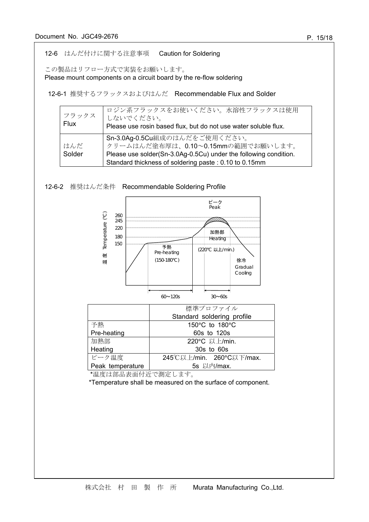# 12-6 はんだ付けに関する注意事項 Caution for Soldering

この製品はリフロー方式で実装をお願いします。

Please mount components on a circuit board by the re-flow soldering

12-6-1 推奨するフラックスおよびはんだ Recommendable Flux and Solder

| フラックス<br>Flux | ロジン系フラックスをお使いください。水溶性フラックスは使用<br>しないでください。<br>Please use rosin based flux, but do not use water soluble flux.                           |
|---------------|-----------------------------------------------------------------------------------------------------------------------------------------|
| はんだ<br>Solder | Sn-3.0Ag-0.5Cu組成のはんだをご使用ください。<br>クリームはんだ塗布厚は、0.10~0.15mmの範囲でお願いします。<br>Please use solder(Sn-3.0Ag-0.5Cu) under the following condition. |
|               | Standard thickness of soldering paste: 0.10 to 0.15mm                                                                                   |





Peak temperature 5s 以内/max. \*温度は部品表面付近で測定します。

\*Temperature shall be measured on the surface of component.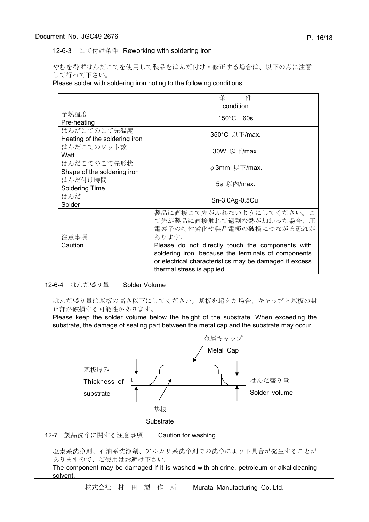### 12-6-3 こて付け条件 Reworking with soldering iron

やむを得ずはんだこてを使用して製品をはんだ付け・修正する場合は、以下の点に注意 して行って下さい。

Please solder with soldering iron noting to the following conditions.

|                               | 件<br>条                                                 |  |  |  |
|-------------------------------|--------------------------------------------------------|--|--|--|
|                               | condition                                              |  |  |  |
| 予熱温度                          | $150^{\circ}$ C 60s                                    |  |  |  |
| Pre-heating                   |                                                        |  |  |  |
| はんだこてのこて先温度                   | 350°C 以下/max.                                          |  |  |  |
| Heating of the soldering iron |                                                        |  |  |  |
| はんだこてのワット数                    | 30W 以下/max.                                            |  |  |  |
| Watt                          |                                                        |  |  |  |
| はんだこてのこて先形状                   | $\phi$ 3mm 以下/max.                                     |  |  |  |
| Shape of the soldering iron   |                                                        |  |  |  |
| はんだ付け時間                       | 5s 以内/max.                                             |  |  |  |
| Soldering Time                |                                                        |  |  |  |
| はんだ                           | Sn-3.0Ag-0.5Cu                                         |  |  |  |
| Solder                        |                                                        |  |  |  |
|                               | 製品に直接こて先がふれないようにしてください。こ                               |  |  |  |
|                               | て先が製品に直接触れて過剰な熱が加わった場合、圧                               |  |  |  |
|                               | 電素子の特性劣化や製品電極の破損につながる恐れが                               |  |  |  |
| 注意事項                          | あります。                                                  |  |  |  |
| Caution                       | Please do not directly touch the components with       |  |  |  |
|                               | soldering iron, because the terminals of components    |  |  |  |
|                               | or electrical characteristics may be damaged if excess |  |  |  |
|                               | thermal stress is applied.                             |  |  |  |

#### 12-6-4 はんだ盛り量 Solder Volume

はんだ盛り量は基板の高さ以下にしてください。基板を超えた場合、キャップと基板の封 止部が破損する可能性があります。

Please keep the solder volume below the height of the substrate. When exceeding the substrate, the damage of sealing part between the metal cap and the substrate may occur.



株式会社 村 田 製 作 所 Murata Manufacturing Co.,Ltd.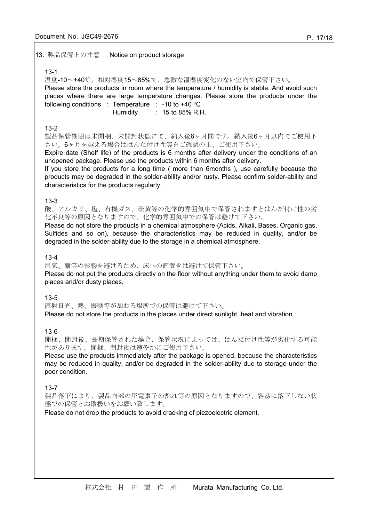### 13. 製品保管上の注意 Notice on product storage

#### 13-1

温度-10~+40℃、相対湿度15~85%で、急激な温湿度変化のない室内で保管下さい。 Please store the products in room where the temperature / humidity is stable. And avoid such places where there are large temperature changes. Please store the products under the following conditions : Temperature : -10 to +40  $^{\circ}$ C Humidity : 15 to 85% R.H.

#### 13-2

製品保管期限は未開梱、未開封状態にて、納入後6ヶ月間です。納入後6ヶ月以内でご使用下 さい。6ヶ月を越える場合ははんだ付け性等をご確認の上、ご使用下さい。

Expire date (Shelf life) of the products is 6 months after delivery under the conditions of an unopened package. Please use the products within 6 months after delivery.

If you store the products for a long time ( more than 6months ), use carefully because the products may be degraded in the solder-ability and/or rusty. Please confirm solder-ability and characteristics for the products regularly.

### 13-3

酸、アルカリ、塩、有機ガス、硫黄等の化学的雰囲気中で保管されますとはんだ付け性の劣 化不良等の原因となりますので、化学的雰囲気中での保管は避けて下さい。

Please do not store the products in a chemical atmosphere (Acids, Alkali, Bases, Organic gas, Sulfides and so on), because the characteristics may be reduced in quality, and/or be degraded in the solder-ability due to the storage in a chemical atmosphere.

#### 13-4

湿気、塵等の影響を避けるため、床への直置きは避けて保管下さい。 Please do not put the products directly on the floor without anything under them to avoid damp

places and/or dusty places.

## 13-5

直射日光、熱、振動等が加わる場所での保管は避けて下さい。

Please do not store the products in the places under direct sunlight, heat and vibration.

### 13-6

開梱、開封後、長期保管された場合、保管状況によっては、はんだ付け性等が劣化する可能 性があります。開梱、開封後は速やかにご使用下さい。

Please use the products immediately after the package is opened, because the characteristics may be reduced in quality, and/or be degraded in the solder-ability due to storage under the poor condition.

#### 13-7

製品落下により、製品内部の圧電素子の割れ等の原因となりますので、容易に落下しない状 態での保管とお取扱いをお願い致します。

Please do not drop the products to avoid cracking of piezoelectric element.